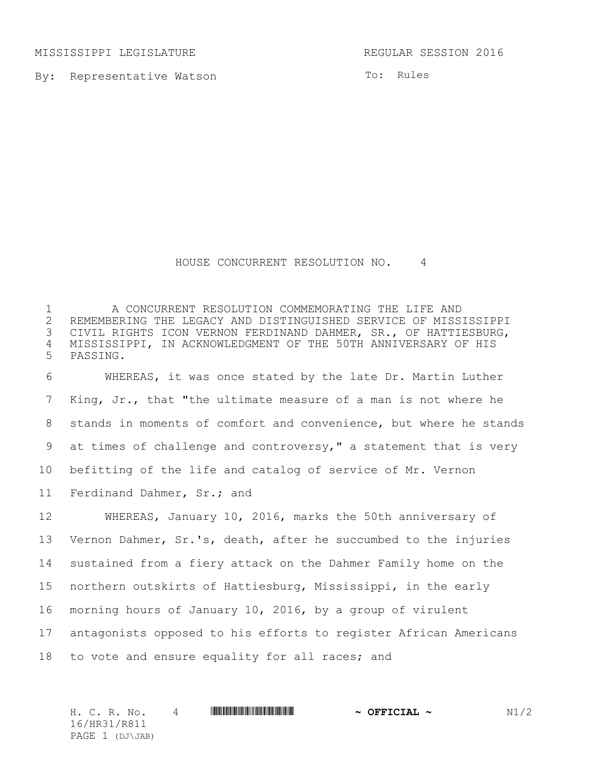MISSISSIPPI LEGISLATURE REGULAR SESSION 2016

By: Representative Watson

To: Rules

## HOUSE CONCURRENT RESOLUTION NO. 4

1 A CONCURRENT RESOLUTION COMMEMORATING THE LIFE AND<br>2 REMEMBERING THE LEGACY AND DISTINGUISHED SERVICE OF MISS. 2 REMEMBERING THE LEGACY AND DISTINGUISHED SERVICE OF MISSISSIPPI<br>3 CIVIL RIGHTS ICON VERNON FERDINAND DAHMER, SR., OF HATTIESBURG, CIVIL RIGHTS ICON VERNON FERDINAND DAHMER, SR., OF HATTIESBURG, MISSISSIPPI, IN ACKNOWLEDGMENT OF THE 50TH ANNIVERSARY OF HIS PASSING.

 WHEREAS, it was once stated by the late Dr. Martin Luther King, Jr., that "the ultimate measure of a man is not where he stands in moments of comfort and convenience, but where he stands at times of challenge and controversy," a statement that is very befitting of the life and catalog of service of Mr. Vernon Ferdinand Dahmer, Sr.; and

 WHEREAS, January 10, 2016, marks the 50th anniversary of Vernon Dahmer, Sr.'s, death, after he succumbed to the injuries sustained from a fiery attack on the Dahmer Family home on the northern outskirts of Hattiesburg, Mississippi, in the early morning hours of January 10, 2016, by a group of virulent antagonists opposed to his efforts to register African Americans to vote and ensure equality for all races; and

H. C. R. No. 4 \*HR31/R811\* **~ OFFICIAL ~** N1/2 16/HR31/R811 PAGE 1 (DJ\JAB)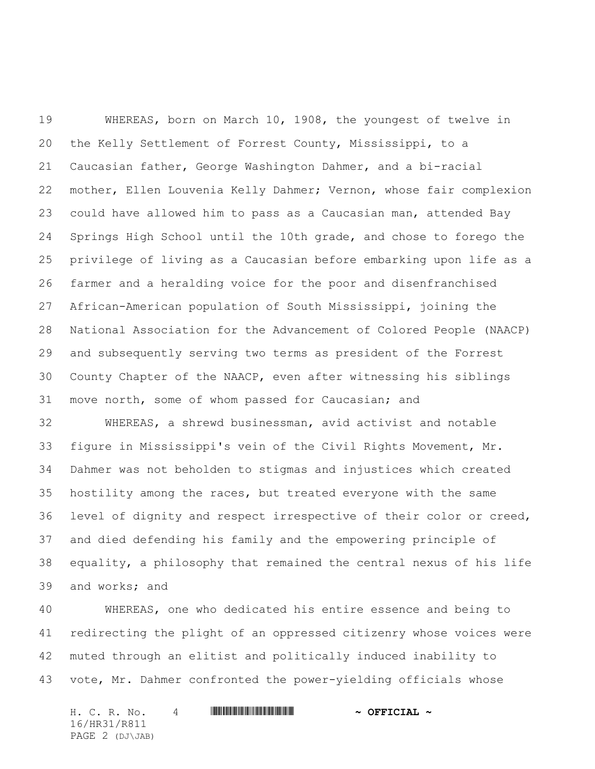WHEREAS, born on March 10, 1908, the youngest of twelve in the Kelly Settlement of Forrest County, Mississippi, to a Caucasian father, George Washington Dahmer, and a bi-racial mother, Ellen Louvenia Kelly Dahmer; Vernon, whose fair complexion could have allowed him to pass as a Caucasian man, attended Bay Springs High School until the 10th grade, and chose to forego the privilege of living as a Caucasian before embarking upon life as a farmer and a heralding voice for the poor and disenfranchised African-American population of South Mississippi, joining the National Association for the Advancement of Colored People (NAACP) and subsequently serving two terms as president of the Forrest County Chapter of the NAACP, even after witnessing his siblings move north, some of whom passed for Caucasian; and

 WHEREAS, a shrewd businessman, avid activist and notable figure in Mississippi's vein of the Civil Rights Movement, Mr. Dahmer was not beholden to stigmas and injustices which created hostility among the races, but treated everyone with the same level of dignity and respect irrespective of their color or creed, and died defending his family and the empowering principle of equality, a philosophy that remained the central nexus of his life and works; and

 WHEREAS, one who dedicated his entire essence and being to redirecting the plight of an oppressed citizenry whose voices were muted through an elitist and politically induced inability to vote, Mr. Dahmer confronted the power-yielding officials whose

H. C. R. No. 4 \*HR31/R811\* **~ OFFICIAL ~** 16/HR31/R811 PAGE 2 (DJ\JAB)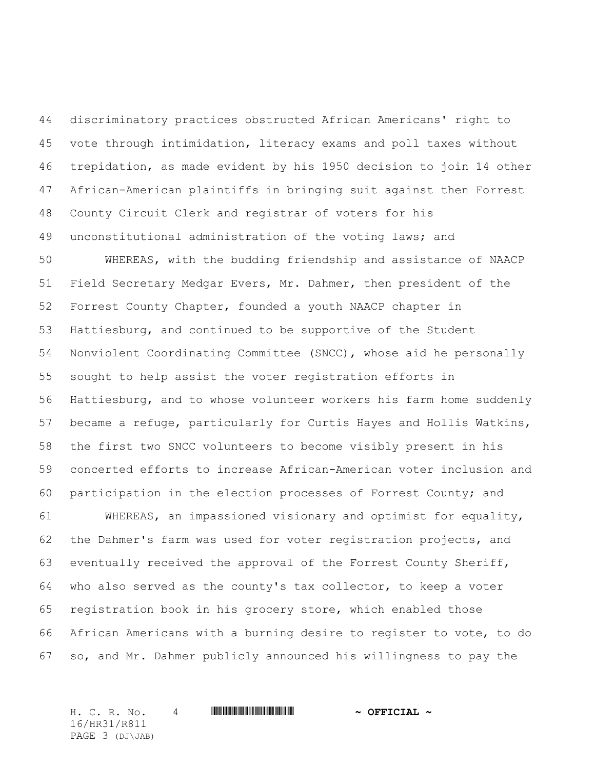discriminatory practices obstructed African Americans' right to vote through intimidation, literacy exams and poll taxes without trepidation, as made evident by his 1950 decision to join 14 other African-American plaintiffs in bringing suit against then Forrest County Circuit Clerk and registrar of voters for his unconstitutional administration of the voting laws; and

 WHEREAS, with the budding friendship and assistance of NAACP Field Secretary Medgar Evers, Mr. Dahmer, then president of the Forrest County Chapter, founded a youth NAACP chapter in Hattiesburg, and continued to be supportive of the Student Nonviolent Coordinating Committee (SNCC), whose aid he personally sought to help assist the voter registration efforts in Hattiesburg, and to whose volunteer workers his farm home suddenly became a refuge, particularly for Curtis Hayes and Hollis Watkins, the first two SNCC volunteers to become visibly present in his concerted efforts to increase African-American voter inclusion and participation in the election processes of Forrest County; and

 WHEREAS, an impassioned visionary and optimist for equality, the Dahmer's farm was used for voter registration projects, and eventually received the approval of the Forrest County Sheriff, who also served as the county's tax collector, to keep a voter registration book in his grocery store, which enabled those African Americans with a burning desire to register to vote, to do so, and Mr. Dahmer publicly announced his willingness to pay the

H. C. R. No. 4 \*HR31/R811\* **~ OFFICIAL ~** 16/HR31/R811 PAGE 3 (DJ\JAB)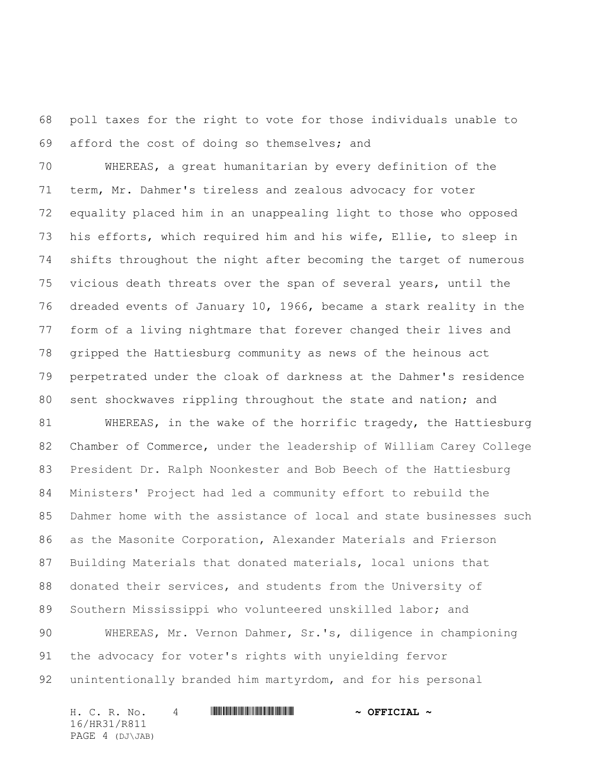poll taxes for the right to vote for those individuals unable to afford the cost of doing so themselves; and

 WHEREAS, a great humanitarian by every definition of the term, Mr. Dahmer's tireless and zealous advocacy for voter equality placed him in an unappealing light to those who opposed his efforts, which required him and his wife, Ellie, to sleep in shifts throughout the night after becoming the target of numerous vicious death threats over the span of several years, until the dreaded events of January 10, 1966, became a stark reality in the form of a living nightmare that forever changed their lives and gripped the Hattiesburg community as news of the heinous act perpetrated under the cloak of darkness at the Dahmer's residence 80 sent shockwaves rippling throughout the state and nation; and

 WHEREAS, in the wake of the horrific tragedy, the Hattiesburg Chamber of Commerce, under the leadership of William Carey College President Dr. Ralph Noonkester and Bob Beech of the Hattiesburg Ministers' Project had led a community effort to rebuild the Dahmer home with the assistance of local and state businesses such as the Masonite Corporation, Alexander Materials and Frierson Building Materials that donated materials, local unions that donated their services, and students from the University of Southern Mississippi who volunteered unskilled labor; and WHEREAS, Mr. Vernon Dahmer, Sr.'s, diligence in championing

 the advocacy for voter's rights with unyielding fervor unintentionally branded him martyrdom, and for his personal

H. C. R. No. 4 \*HR31/R811\* **~ OFFICIAL ~** 16/HR31/R811 PAGE 4 (DJ\JAB)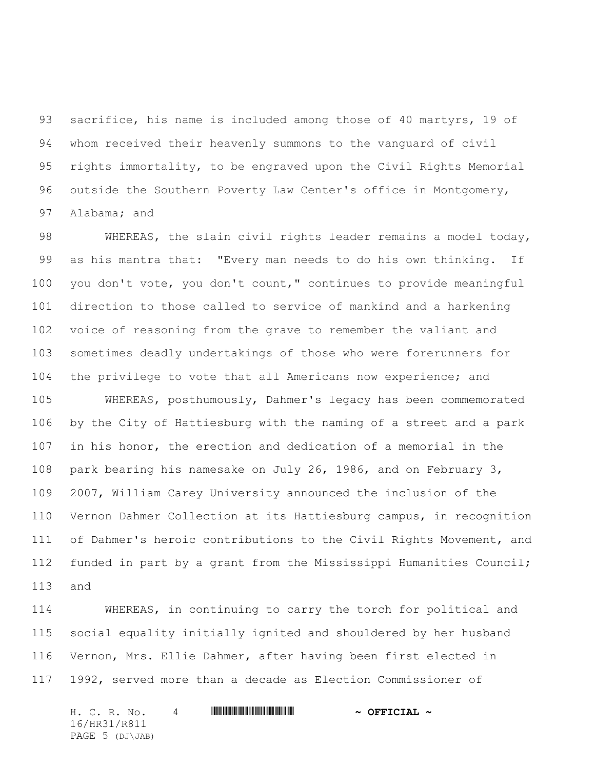sacrifice, his name is included among those of 40 martyrs, 19 of whom received their heavenly summons to the vanguard of civil rights immortality, to be engraved upon the Civil Rights Memorial outside the Southern Poverty Law Center's office in Montgomery, Alabama; and

 WHEREAS, the slain civil rights leader remains a model today, as his mantra that: "Every man needs to do his own thinking. If you don't vote, you don't count," continues to provide meaningful direction to those called to service of mankind and a harkening voice of reasoning from the grave to remember the valiant and sometimes deadly undertakings of those who were forerunners for the privilege to vote that all Americans now experience; and WHEREAS, posthumously, Dahmer's legacy has been commemorated

 by the City of Hattiesburg with the naming of a street and a park in his honor, the erection and dedication of a memorial in the park bearing his namesake on July 26, 1986, and on February 3, 2007, William Carey University announced the inclusion of the Vernon Dahmer Collection at its Hattiesburg campus, in recognition of Dahmer's heroic contributions to the Civil Rights Movement, and funded in part by a grant from the Mississippi Humanities Council; and

 WHEREAS, in continuing to carry the torch for political and social equality initially ignited and shouldered by her husband Vernon, Mrs. Ellie Dahmer, after having been first elected in 1992, served more than a decade as Election Commissioner of

H. C. R. No. 4 \*HR31/R811\* **~ OFFICIAL ~** 16/HR31/R811 PAGE 5 (DJ\JAB)